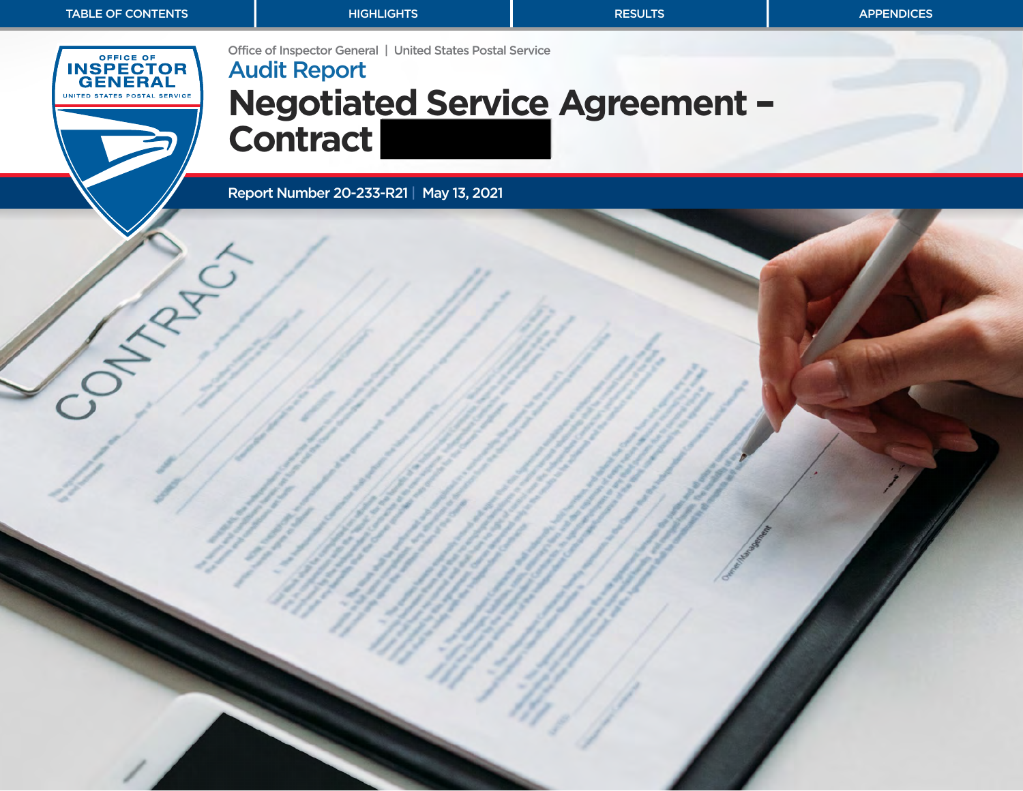<span id="page-0-0"></span>Office of Inspector General | United States Postal Service **INSPECTOR**<br>GENERAL Audit Report **Negotiated Service Agreement** – UNITED STATES POSTAL SERVICE **Contract**  Report Number 20-233-R21 | May 13, 2021 CHANGE CO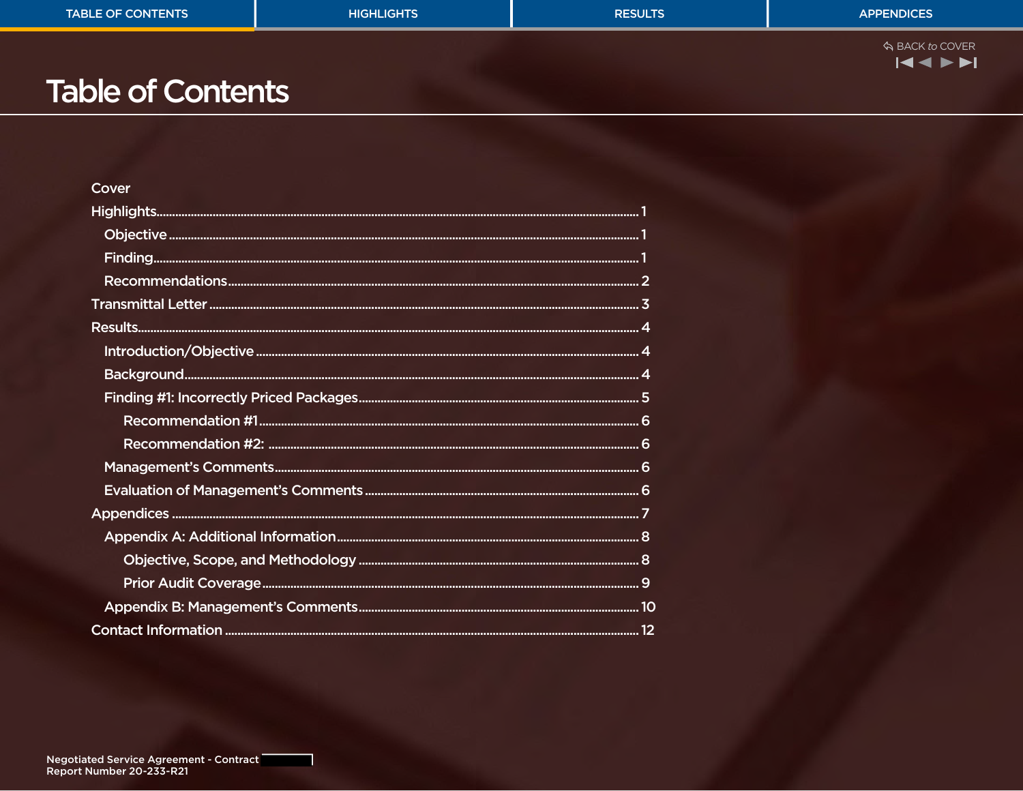| <b>TABLE OF CONTENTS</b> | <b>HIGHLIGHTS</b> | <b>RESULTS</b> | <b>APPENDICES</b>          |
|--------------------------|-------------------|----------------|----------------------------|
|                          |                   |                | ☆ BACK to COVER<br>144 N.N |

# **Table of Contents**

| Cover |  |
|-------|--|
|       |  |
|       |  |
|       |  |
|       |  |
|       |  |
|       |  |
|       |  |
|       |  |
|       |  |
|       |  |
|       |  |
|       |  |
|       |  |
|       |  |
|       |  |
|       |  |
|       |  |
|       |  |
|       |  |
|       |  |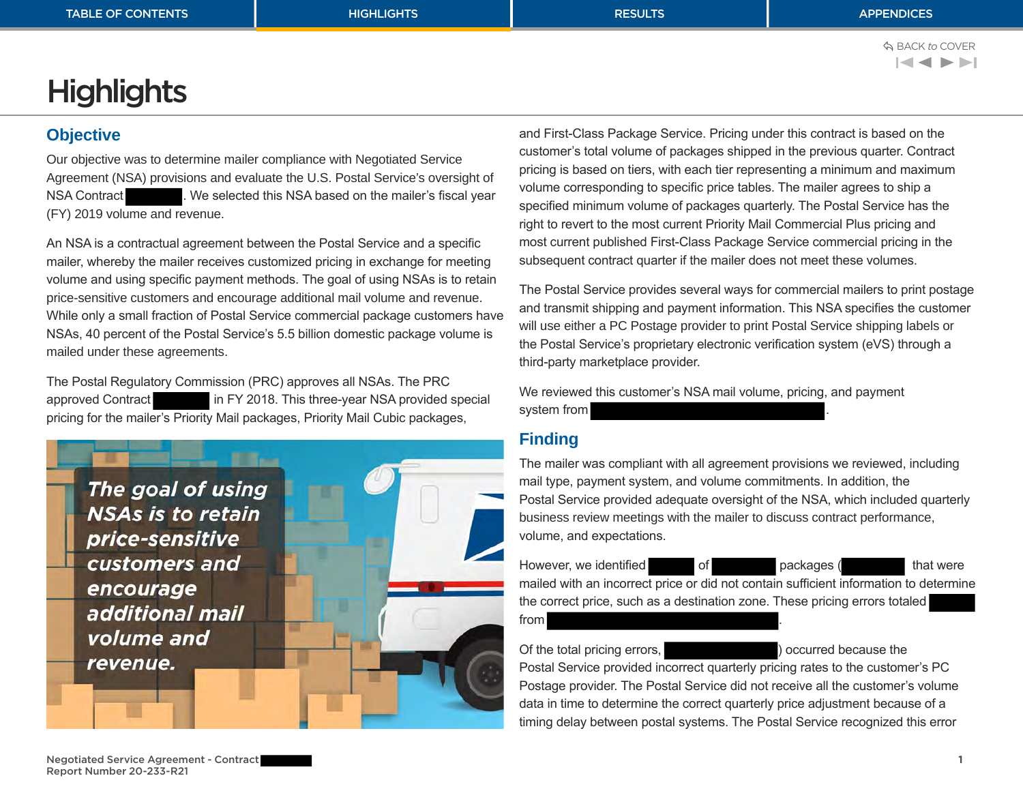BACK *to* COVER $\blacktriangleleft$   $\blacktriangleleft$   $\blacktriangleright$   $\blacktriangleright$   $\blacktriangleright$   $\blacktriangleright$ 

# <span id="page-2-0"></span>**Highlights**

### **Objective**

Our objective was to determine mailer compliance with Negotiated Service Agreement (NSA) provisions and evaluate the U.S. Postal Service's oversight of NSA Contract . We selected this NSA based on the mailer's fiscal year (FY) 2019 volume and revenue.

An NSA is a contractual agreement between the Postal Service and a specific mailer, whereby the mailer receives customized pricing in exchange for meeting volume and using specific payment methods. The goal of using NSAs is to retain price-sensitive customers and encourage additional mail volume and revenue. While only a small fraction of Postal Service commercial package customers have NSAs, 40 percent of the Postal Service's 5.5 billion domestic package volume is mailed under these agreements.

The Postal Regulatory Commission (PRC) approves all NSAs. The PRC approved Contract in FY 2018. This three-year NSA provided special pricing for the mailer's Priority Mail packages, Priority Mail Cubic packages,



and First-Class Package Service. Pricing under this contract is based on the customer's total volume of packages shipped in the previous quarter. Contract pricing is based on tiers, with each tier representing a minimum and maximum volume corresponding to specific price tables. The mailer agrees to ship a specified minimum volume of packages quarterly. The Postal Service has the right to revert to the most current Priority Mail Commercial Plus pricing and most current published First-Class Package Service commercial pricing in the subsequent contract quarter if the mailer does not meet these volumes.

The Postal Service provides several ways for commercial mailers to print postage and transmit shipping and payment information. This NSA specifies the customer will use either a PC Postage provider to print Postal Service shipping labels or the Postal Service's proprietary electronic verification system (eVS) through a third‑party marketplace provider.

We reviewed this customer's NSA mail volume, pricing, and payment system from .

## **Finding**

The mailer was compliant with all agreement provisions we reviewed, including mail type, payment system, and volume commitments. In addition, the Postal Service provided adequate oversight of the NSA, which included quarterly business review meetings with the mailer to discuss contract performance, volume, and expectations.

However, we identified of packages ( that were mailed with an incorrect price or did not contain sufficient information to determine the correct price, such as a destination zone. These pricing errors totaled

from .

#### Of the total pricing errors,  $\sim$  ) occurred because the

Postal Service provided incorrect quarterly pricing rates to the customer's PC Postage provider. The Postal Service did not receive all the customer's volume data in time to determine the correct quarterly price adjustment because of a timing delay between postal systems. The Postal Service recognized this error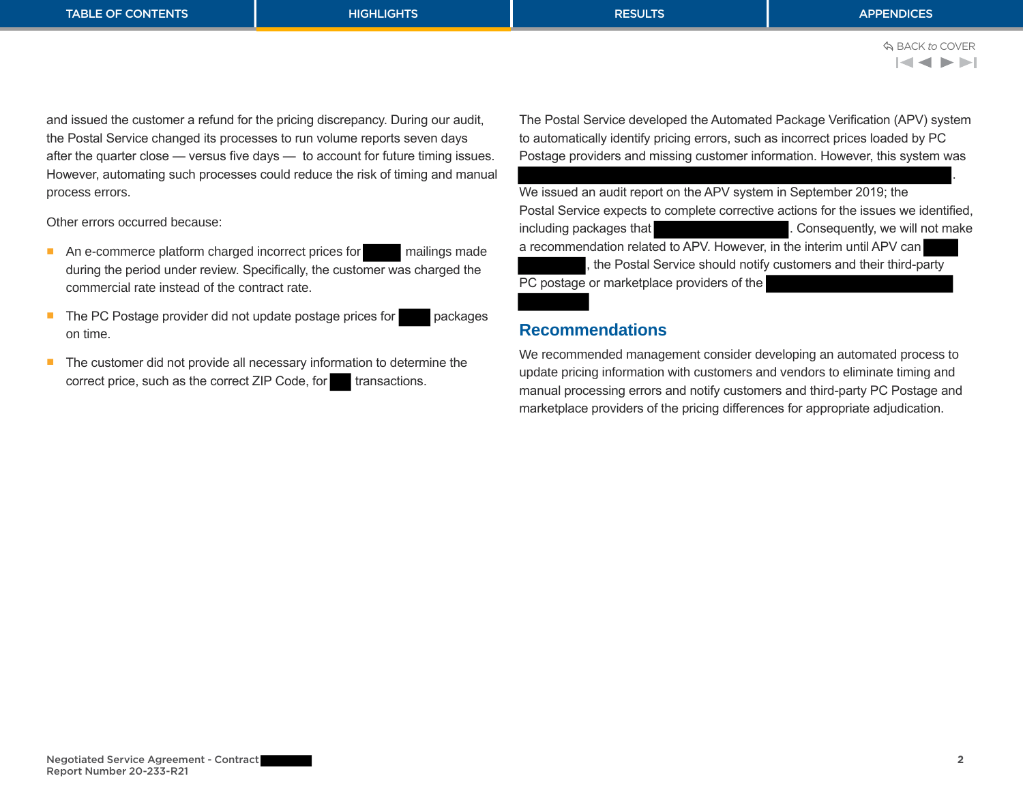<span id="page-3-0"></span>and issued the customer a refund for the pricing discrepancy. During our audit, the Postal Service changed its processes to run volume reports seven days after the quarter close — versus five days — to account for future timing issues. However, automating such processes could reduce the risk of timing and manual process errors.

Other errors occurred because:

- An e-commerce platform charged incorrect prices for mailings made during the period under review. Specifically, the customer was charged the commercial rate instead of the contract rate.
- The PC Postage provider did not update postage prices for packages on time.
- The customer did not provide all necessary information to determine the correct price, such as the correct ZIP Code, for transactions.

The Postal Service developed the Automated Package Verification (APV) system to automatically identify pricing errors, such as incorrect prices loaded by PC Postage providers and missing customer information. However, this system was

. We issued an audit report on the APV system in September 2019; the Postal Service expects to complete corrective actions for the issues we identified, including packages that **the consequently** . Consequently, we will not make a recommendation related to APV. However, in the interim until APV can , the Postal Service should notify customers and their third-party PC postage or marketplace providers of the

## **Recommendations**

We recommended management consider developing an automated process to update pricing information with customers and vendors to eliminate timing and manual processing errors and notify customers and third-party PC Postage and marketplace providers of the pricing differences for appropriate adjudication.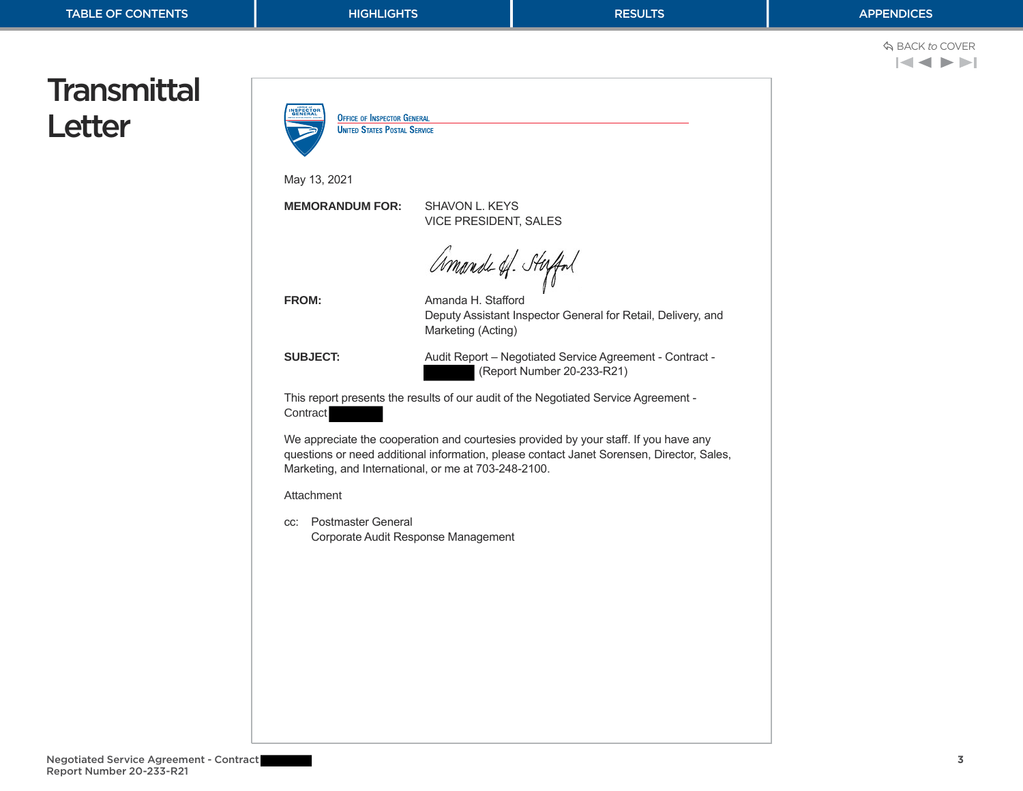$$
\Leftrightarrow \text{BACK to Cover}
$$

# <span id="page-4-0"></span>**Transmittal** Letter

| May 13, 2021                     |                                                                                                                                                                                                                                           |
|----------------------------------|-------------------------------------------------------------------------------------------------------------------------------------------------------------------------------------------------------------------------------------------|
| <b>MEMORANDUM FOR:</b>           | <b>SHAVON L. KEYS</b><br><b>VICE PRESIDENT, SALES</b>                                                                                                                                                                                     |
| <b>FROM:</b>                     | Amande of Staffol<br>Amanda H. Stafford<br>Deputy Assistant Inspector General for Retail, Delivery, and<br>Marketing (Acting)                                                                                                             |
| <b>SUBJECT:</b>                  | Audit Report - Negotiated Service Agreement - Contract -<br>(Report Number 20-233-R21)                                                                                                                                                    |
| Contract                         | This report presents the results of our audit of the Negotiated Service Agreement -                                                                                                                                                       |
|                                  | We appreciate the cooperation and courtesies provided by your staff. If you have any<br>questions or need additional information, please contact Janet Sorensen, Director, Sales,<br>Marketing, and International, or me at 703-248-2100. |
| Attachment                       |                                                                                                                                                                                                                                           |
| <b>Postmaster General</b><br>CC: | Corporate Audit Response Management                                                                                                                                                                                                       |
|                                  |                                                                                                                                                                                                                                           |
|                                  |                                                                                                                                                                                                                                           |
|                                  |                                                                                                                                                                                                                                           |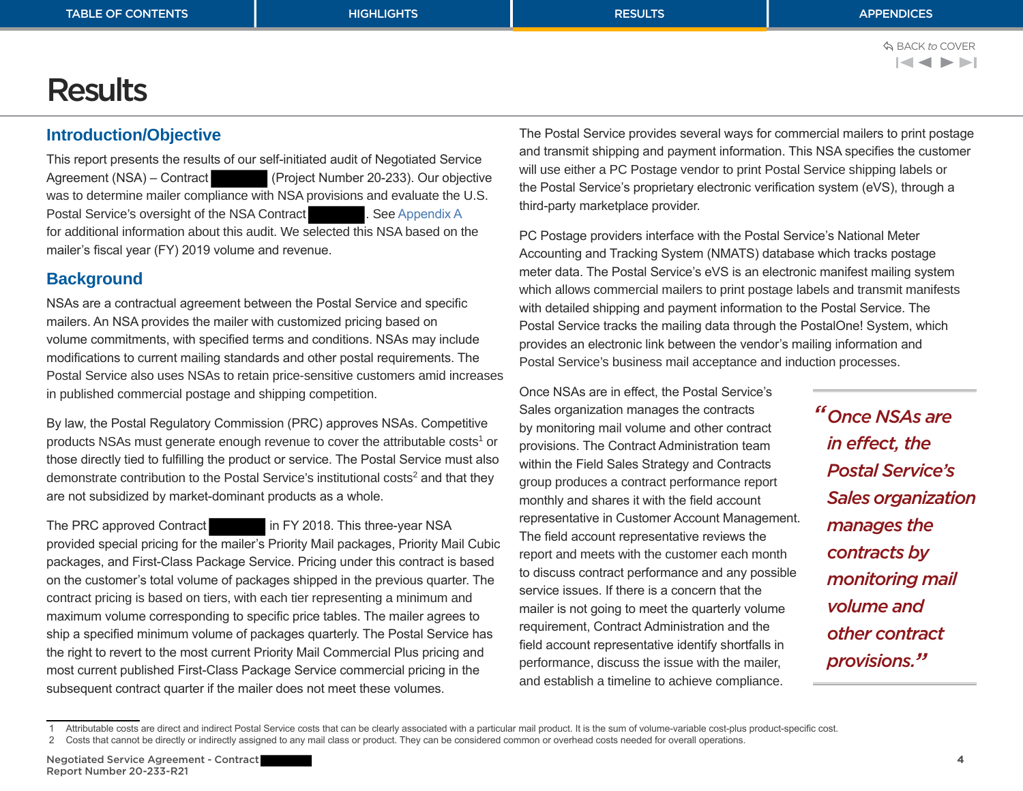# <span id="page-5-0"></span>**Results**

# **Introduction/Objective**

This report presents the results of our self-initiated audit of Negotiated Service Agreement (NSA) – Contract (Project Number 20-233). Our objective was to determine mailer compliance with NSA provisions and evaluate the U.S. Postal Service's oversight of the NSA Contract . See [Appendix A](#page-9-0) for additional information about this audit. We selected this NSA based on the mailer's fiscal year (FY) 2019 volume and revenue.

# **Background**

NSAs are a contractual agreement between the Postal Service and specific mailers. An NSA provides the mailer with customized pricing based on volume commitments, with specified terms and conditions. NSAs may include modifications to current mailing standards and other postal requirements. The Postal Service also uses NSAs to retain price-sensitive customers amid increases in published commercial postage and shipping competition.

By law, the Postal Regulatory Commission (PRC) approves NSAs. Competitive products NSAs must generate enough revenue to cover the attributable costs<sup>1</sup> or those directly tied to fulfilling the product or service. The Postal Service must also demonstrate contribution to the Postal Service's institutional costs<sup>2</sup> and that they are not subsidized by market-dominant products as a whole.

The PRC approved Contract in FY 2018. This three-year NSA

provided special pricing for the mailer's Priority Mail packages, Priority Mail Cubic packages, and First-Class Package Service. Pricing under this contract is based on the customer's total volume of packages shipped in the previous quarter. The contract pricing is based on tiers, with each tier representing a minimum and maximum volume corresponding to specific price tables. The mailer agrees to ship a specified minimum volume of packages quarterly. The Postal Service has the right to revert to the most current Priority Mail Commercial Plus pricing and most current published First-Class Package Service commercial pricing in the subsequent contract quarter if the mailer does not meet these volumes.

The Postal Service provides several ways for commercial mailers to print postage and transmit shipping and payment information. This NSA specifies the customer will use either a PC Postage vendor to print Postal Service shipping labels or the Postal Service's proprietary electronic verification system (eVS), through a third‑party marketplace provider.

PC Postage providers interface with the Postal Service's National Meter Accounting and Tracking System (NMATS) database which tracks postage meter data. The Postal Service's eVS is an electronic manifest mailing system which allows commercial mailers to print postage labels and transmit manifests with detailed shipping and payment information to the Postal Service. The Postal Service tracks the mailing data through the PostalOne! System, which provides an electronic link between the vendor's mailing information and Postal Service's business mail acceptance and induction processes.

Once NSAs are in effect, the Postal Service's Sales organization manages the contracts by monitoring mail volume and other contract provisions. The Contract Administration team within the Field Sales Strategy and Contracts group produces a contract performance report monthly and shares it with the field account representative in Customer Account Management. The field account representative reviews the report and meets with the customer each month to discuss contract performance and any possible service issues. If there is a concern that the mailer is not going to meet the quarterly volume requirement, Contract Administration and the field account representative identify shortfalls in performance, discuss the issue with the mailer, and establish a timeline to achieve compliance.

*"Once NSAs are in effect, the Postal Service's Sales organization manages the contracts by monitoring mail volume and other contract provisions."*

<sup>1</sup> Attributable costs are direct and indirect Postal Service costs that can be clearly associated with a particular mail product. It is the sum of volume-variable cost-plus product-specific cost.

<sup>2</sup> Costs that cannot be directly or indirectly assigned to any mail class or product. They can be considered common or overhead costs needed for overall operations.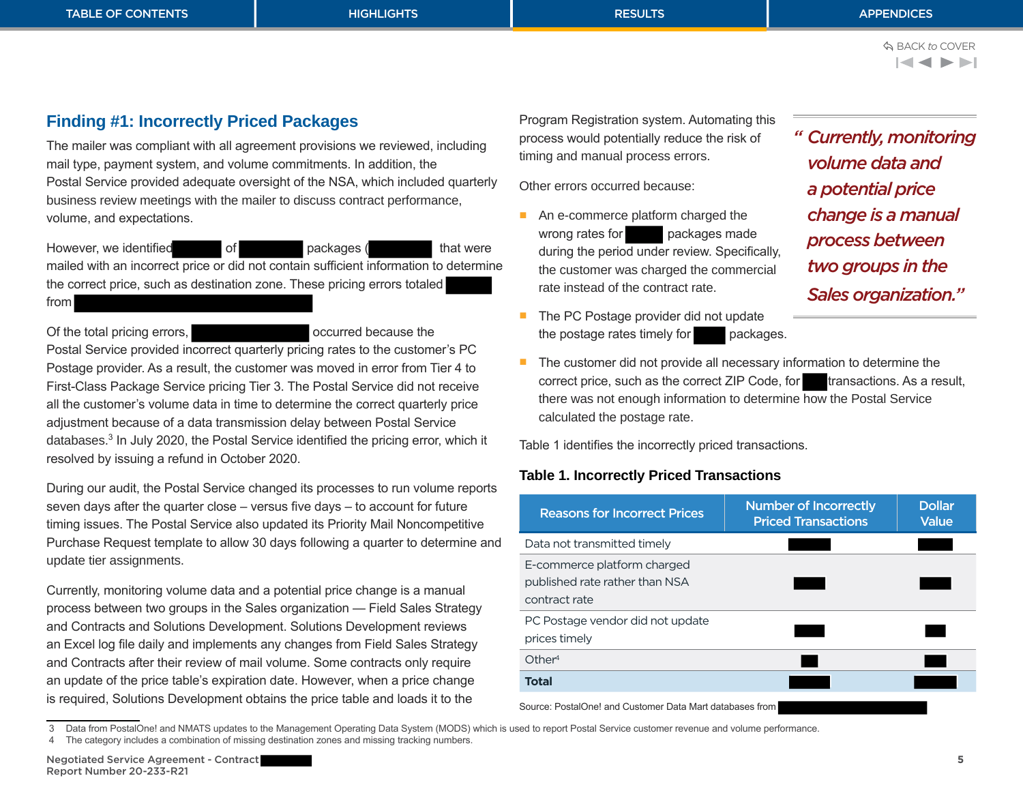### <span id="page-6-0"></span>TABLE OF CONTENTS APPENDICES AND HIGHLIGHTS AND RESULTS APPENDICES APPENDICES

# **Finding #1: Incorrectly Priced Packages**

The mailer was compliant with all agreement provisions we reviewed, including mail type, payment system, and volume commitments. In addition, the Postal Service provided adequate oversight of the NSA, which included quarterly business review meetings with the mailer to discuss contract performance, volume, and expectations.

However, we identified of packages ( that were mailed with an incorrect price or did not contain sufficient information to determine the correct price, such as destination zone. These pricing errors totaled from

Of the total pricing errors, **occurred because the** occurred because the Postal Service provided incorrect quarterly pricing rates to the customer's PC Postage provider. As a result, the customer was moved in error from Tier 4 to First-Class Package Service pricing Tier 3. The Postal Service did not receive all the customer's volume data in time to determine the correct quarterly price adjustment because of a data transmission delay between Postal Service databases.<sup>3</sup> In July 2020, the Postal Service identified the pricing error, which it resolved by issuing a refund in October 2020.

During our audit, the Postal Service changed its processes to run volume reports seven days after the quarter close – versus five days – to account for future timing issues. The Postal Service also updated its Priority Mail Noncompetitive Purchase Request template to allow 30 days following a quarter to determine and update tier assignments.

Currently, monitoring volume data and a potential price change is a manual process between two groups in the Sales organization — Field Sales Strategy and Contracts and Solutions Development. Solutions Development reviews an Excel log file daily and implements any changes from Field Sales Strategy and Contracts after their review of mail volume. Some contracts only require an update of the price table's expiration date. However, when a price change is required, Solutions Development obtains the price table and loads it to the

4 The category includes a combination of missing destination zones and missing tracking numbers.

3 Data from PostalOne! and NMATS updates to the Management Operating Data System (MODS) which is used to report Postal Service customer revenue and volume performance.

Program Registration system. Automating this process would potentially reduce the risk of timing and manual process errors.

Other errors occurred because:

- An e-commerce platform charged the wrong rates for packages made during the period under review. Specifically, the customer was charged the commercial rate instead of the contract rate.
- The PC Postage provider did not update the postage rates timely for packages.
- The customer did not provide all necessary information to determine the correct price, such as the correct ZIP Code, for transactions. As a result, there was not enough information to determine how the Postal Service calculated the postage rate.

Table 1 identifies the incorrectly priced transactions.

## **Table 1. Incorrectly Priced Transactions**

| <b>Reasons for Incorrect Prices</b>                                            | <b>Number of Incorrectly</b><br><b>Priced Transactions</b> | <b>Dollar</b><br><b>Value</b> |
|--------------------------------------------------------------------------------|------------------------------------------------------------|-------------------------------|
| Data not transmitted timely                                                    |                                                            |                               |
| E-commerce platform charged<br>published rate rather than NSA<br>contract rate |                                                            |                               |
| PC Postage vendor did not update<br>prices timely                              |                                                            |                               |
| Other <sup>4</sup>                                                             |                                                            |                               |
| <b>Total</b>                                                                   |                                                            |                               |
| Source: PostalOne! and Customer Data Mart databases from                       |                                                            |                               |

*" Currently, monitoring volume data and a potential price change is a manual process between two groups in the Sales organization."*

BACK *to* COVER $\blacktriangleleft$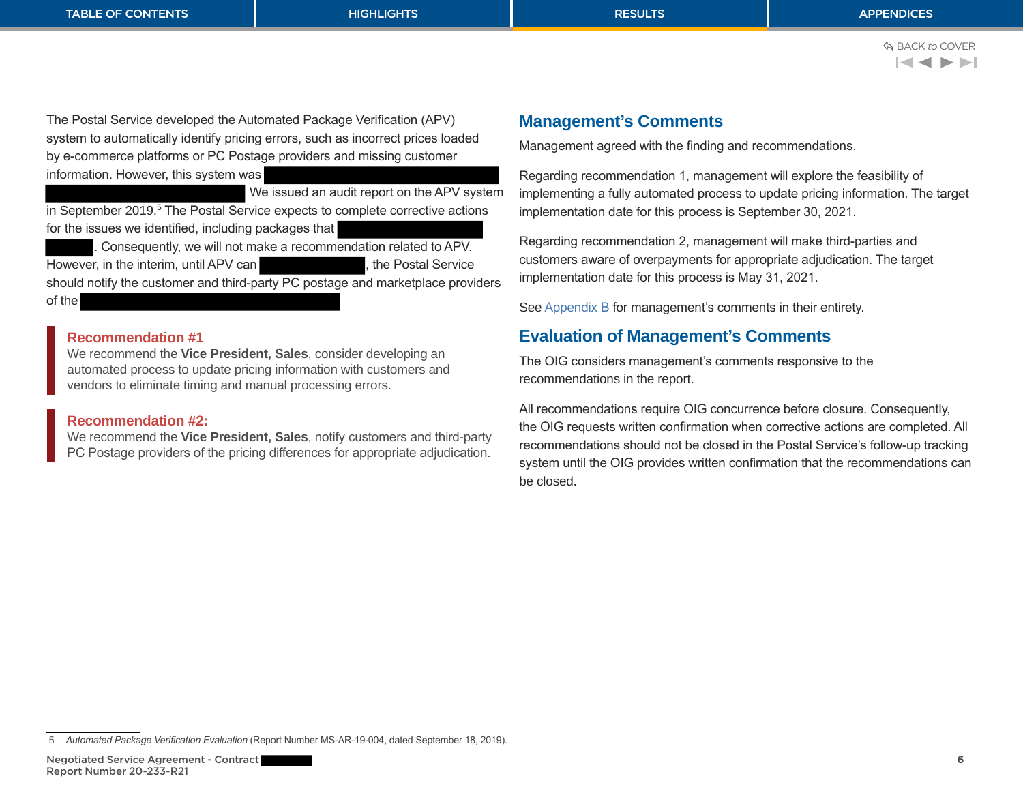BACK *to* COVER

<span id="page-7-0"></span>The Postal Service developed the Automated Package Verification (APV) system to automatically identify pricing errors, such as incorrect prices loaded by e-commerce platforms or PC Postage providers and missing customer information. However, this system was

 We issued an audit report on the APV system in September 2019.<sup>5</sup> The Postal Service expects to complete corrective actions for the issues we identified, including packages that

. Consequently, we will not make a recommendation related to APV. However, in the interim, until APV can **the set of the Service** , the Postal Service should notify the customer and third-party PC postage and marketplace providers of the

### **Recommendation #1**

We recommend the **Vice President, Sales**, consider developing an automated process to update pricing information with customers and vendors to eliminate timing and manual processing errors.

### **Recommendation #2:**

We recommend the **Vice President, Sales**, notify customers and third-party PC Postage providers of the pricing differences for appropriate adjudication.

## **Management's Comments**

Management agreed with the finding and recommendations.

Regarding recommendation 1, management will explore the feasibility of implementing a fully automated process to update pricing information. The target implementation date for this process is September 30, 2021.

Regarding recommendation 2, management will make third-parties and customers aware of overpayments for appropriate adjudication. The target implementation date for this process is May 31, 2021.

See [Appendix B](#page-11-0) for management's comments in their entirety.

# **Evaluation of Management's Comments**

The OIG considers management's comments responsive to the recommendations in the report.

All recommendations require OIG concurrence before closure. Consequently, the OIG requests written confirmation when corrective actions are completed. All recommendations should not be closed in the Postal Service's follow-up tracking system until the OIG provides written confirmation that the recommendations can be closed.

<sup>5</sup> *Automated Package Verification Evaluation* (Report Number MS-AR-19-004, dated September 18, 2019).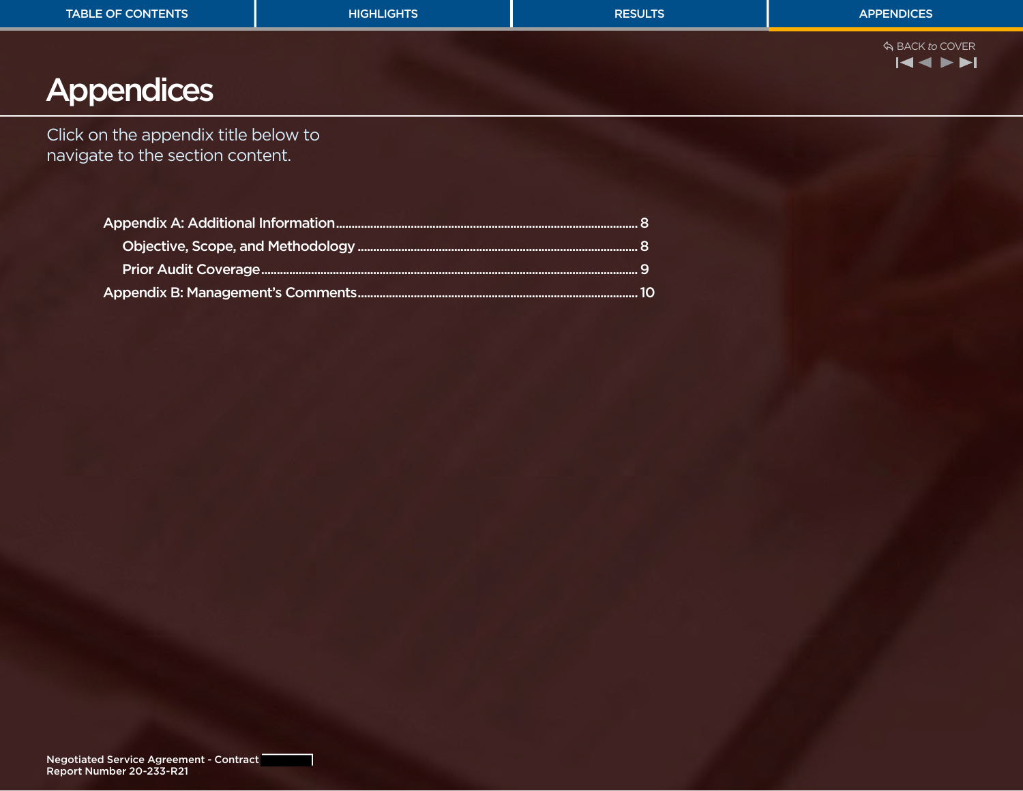<span id="page-8-0"></span>

| <b>TABLE OF CONTENTS</b>                                                 | <b>HIGHLIGHTS</b> | <b>RESULTS</b> | <b>APPENDICES</b>                                                                                                                                                                                                                                                                                                                                                                                                                                                    |
|--------------------------------------------------------------------------|-------------------|----------------|----------------------------------------------------------------------------------------------------------------------------------------------------------------------------------------------------------------------------------------------------------------------------------------------------------------------------------------------------------------------------------------------------------------------------------------------------------------------|
| Appendices                                                               |                   |                | ☆ BACK to COVER<br>$\begin{array}{c} \hline \textbf{ \cdot \hspace{-.08cm} } \textbf{ \hspace{-.08cm} } \textbf{ \hspace{-.08cm} } \textbf{ \hspace{-.08cm} } \textbf{ \hspace{-.08cm} } \textbf{ \hspace{-.08cm} } \textbf{ \hspace{-.08cm} } \textbf{ \hspace{-.08cm} } \textbf{ \hspace{-.08cm} } \textbf{ \hspace{-.08cm} } \textbf{ \hspace{-.08cm} } \textbf{ \hspace{-.08cm} } \textbf{ \hspace{-.08cm} } \textbf{ \hspace{-.08cm} } \textbf{ \hspace{-.08cm$ |
|                                                                          |                   |                |                                                                                                                                                                                                                                                                                                                                                                                                                                                                      |
| Click on the appendix title below to<br>navigate to the section content. |                   |                |                                                                                                                                                                                                                                                                                                                                                                                                                                                                      |
|                                                                          |                   |                |                                                                                                                                                                                                                                                                                                                                                                                                                                                                      |
|                                                                          |                   |                |                                                                                                                                                                                                                                                                                                                                                                                                                                                                      |
|                                                                          |                   |                |                                                                                                                                                                                                                                                                                                                                                                                                                                                                      |
|                                                                          |                   |                |                                                                                                                                                                                                                                                                                                                                                                                                                                                                      |
|                                                                          |                   |                |                                                                                                                                                                                                                                                                                                                                                                                                                                                                      |
|                                                                          |                   |                |                                                                                                                                                                                                                                                                                                                                                                                                                                                                      |
|                                                                          |                   |                |                                                                                                                                                                                                                                                                                                                                                                                                                                                                      |
|                                                                          |                   |                |                                                                                                                                                                                                                                                                                                                                                                                                                                                                      |
|                                                                          |                   |                |                                                                                                                                                                                                                                                                                                                                                                                                                                                                      |
|                                                                          |                   |                |                                                                                                                                                                                                                                                                                                                                                                                                                                                                      |
|                                                                          |                   |                |                                                                                                                                                                                                                                                                                                                                                                                                                                                                      |
|                                                                          |                   |                |                                                                                                                                                                                                                                                                                                                                                                                                                                                                      |
|                                                                          |                   |                |                                                                                                                                                                                                                                                                                                                                                                                                                                                                      |
|                                                                          |                   |                |                                                                                                                                                                                                                                                                                                                                                                                                                                                                      |
|                                                                          |                   |                |                                                                                                                                                                                                                                                                                                                                                                                                                                                                      |
|                                                                          |                   |                |                                                                                                                                                                                                                                                                                                                                                                                                                                                                      |
|                                                                          |                   |                |                                                                                                                                                                                                                                                                                                                                                                                                                                                                      |
|                                                                          |                   |                |                                                                                                                                                                                                                                                                                                                                                                                                                                                                      |
|                                                                          |                   |                |                                                                                                                                                                                                                                                                                                                                                                                                                                                                      |
|                                                                          |                   |                |                                                                                                                                                                                                                                                                                                                                                                                                                                                                      |
|                                                                          |                   |                |                                                                                                                                                                                                                                                                                                                                                                                                                                                                      |
|                                                                          |                   |                |                                                                                                                                                                                                                                                                                                                                                                                                                                                                      |
| Negotiated Service Agreement - Contract<br>Report Number 20-233-R21      |                   |                |                                                                                                                                                                                                                                                                                                                                                                                                                                                                      |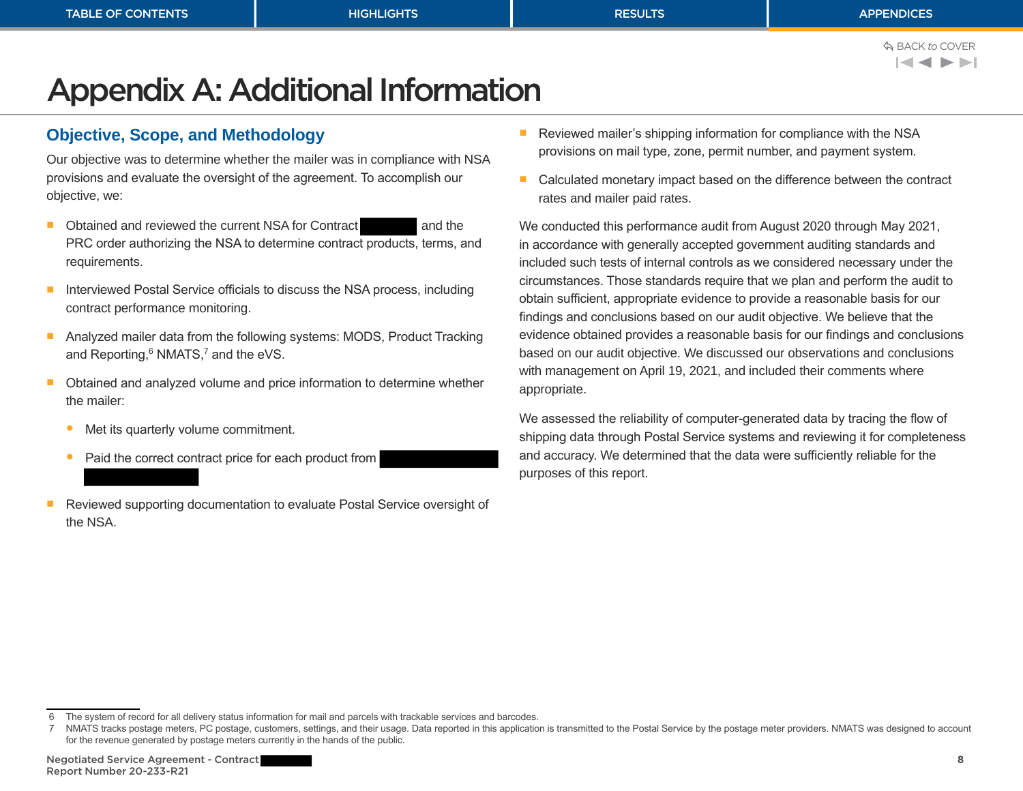# <span id="page-9-0"></span>Appendix A: Additional Information

# **Objective, Scope, and Methodology**

Our objective was to determine whether the mailer was in compliance with NSA provisions and evaluate the oversight of the agreement. To accomplish our objective, we:

- Obtained and reviewed the current NSA for Contract and the PRC order authorizing the NSA to determine contract products, terms, and requirements.
- Interviewed Postal Service officials to discuss the NSA process, including contract performance monitoring.
- Analyzed mailer data from the following systems: MODS, Product Tracking and Reporting, $6$  NMATS, $7$  and the eVS.
- Obtained and analyzed volume and price information to determine whether the mailer:
	- Met its quarterly volume commitment.
	- Paid the correct contract price for each product from
- Reviewed supporting documentation to evaluate Postal Service oversight of the NSA.
- Reviewed mailer's shipping information for compliance with the NSA provisions on mail type, zone, permit number, and payment system.
- Calculated monetary impact based on the difference between the contract rates and mailer paid rates.

We conducted this performance audit from August 2020 through May 2021, in accordance with generally accepted government auditing standards and included such tests of internal controls as we considered necessary under the circumstances. Those standards require that we plan and perform the audit to obtain sufficient, appropriate evidence to provide a reasonable basis for our findings and conclusions based on our audit objective. We believe that the evidence obtained provides a reasonable basis for our findings and conclusions based on our audit objective. We discussed our observations and conclusions with management on April 19, 2021, and included their comments where appropriate.

We assessed the reliability of computer-generated data by tracing the flow of shipping data through Postal Service systems and reviewing it for completeness and accuracy. We determined that the data were sufficiently reliable for the purposes of this report.

<sup>6</sup> The system of record for all delivery status information for mail and parcels with trackable services and barcodes.

<sup>7</sup> NMATS tracks postage meters, PC postage, customers, settings, and their usage. Data reported in this application is transmitted to the Postal Service by the postage meter providers. NMATS was designed to account for the revenue generated by postage meters currently in the hands of the public.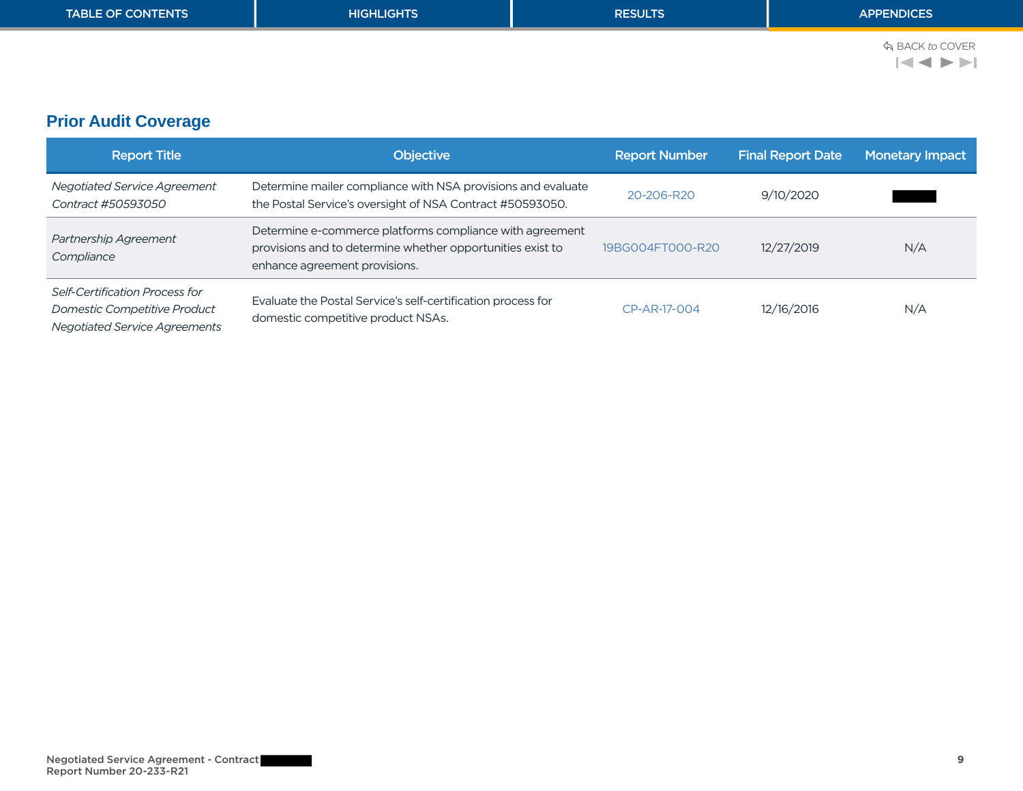<span id="page-10-0"></span>

| <b>TABLE OF CONTENTS</b> | <b>HIGHLIGHTS</b> | <b>RESULTS</b> | <b>APPENDICES</b>                                                                                 |
|--------------------------|-------------------|----------------|---------------------------------------------------------------------------------------------------|
|                          |                   |                | ☆ BACK to COVER<br>$ \blacktriangleleft\blacktriangleleft\blacktriangleright\blacktriangleright $ |
|                          |                   |                |                                                                                                   |

# **Prior Audit Coverage**

| <b>Report Title</b>                                                                                           | <b>Objective</b>                                                                                                                                        | <b>Report Number</b> | <b>Final Report Date</b> | <b>Monetary Impact</b> |
|---------------------------------------------------------------------------------------------------------------|---------------------------------------------------------------------------------------------------------------------------------------------------------|----------------------|--------------------------|------------------------|
| Negotiated Service Agreement<br>Contract #50593050                                                            | Determine mailer compliance with NSA provisions and evaluate<br>the Postal Service's oversight of NSA Contract #50593050.                               | 20-206-R20           | 9/10/2020                |                        |
| Partnership Agreement<br>Compliance                                                                           | Determine e-commerce platforms compliance with agreement<br>provisions and to determine whether opportunities exist to<br>enhance agreement provisions. | 19BG004FT000-R20     | 12/27/2019               | N/A                    |
| Self-Certification Process for<br><b>Domestic Competitive Product</b><br><b>Negotiated Service Agreements</b> | Evaluate the Postal Service's self-certification process for<br>domestic competitive product NSAs.                                                      | CP-AR-17-004         | 12/16/2016               | N/A                    |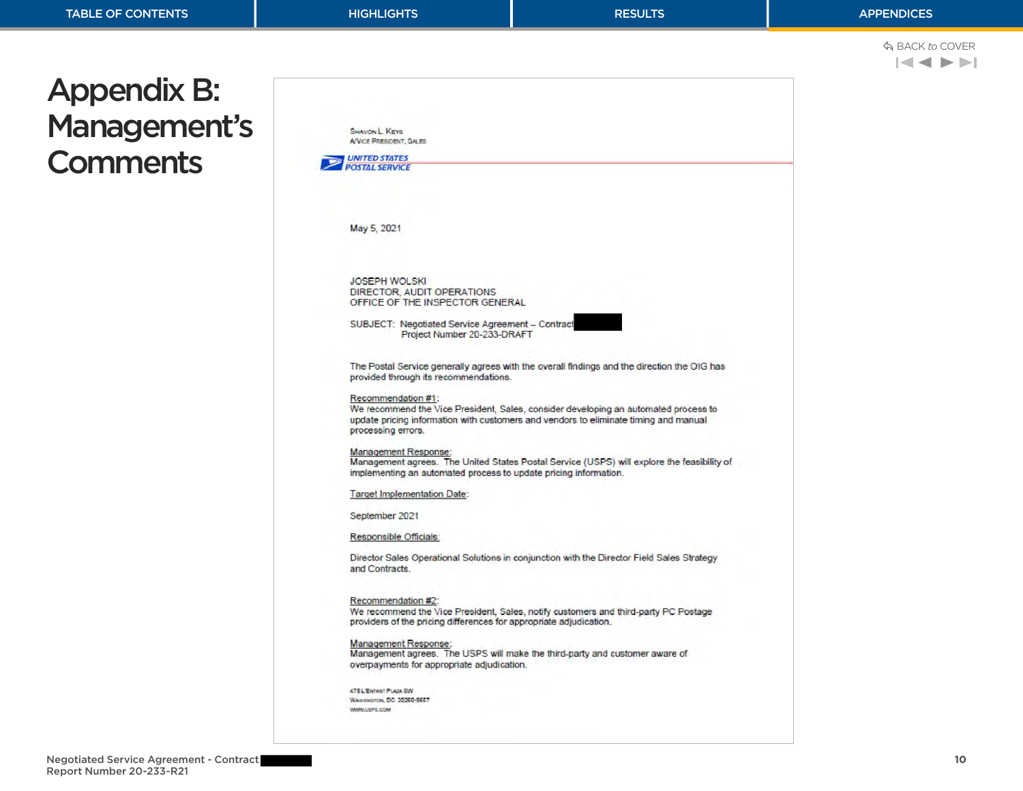<span id="page-11-0"></span>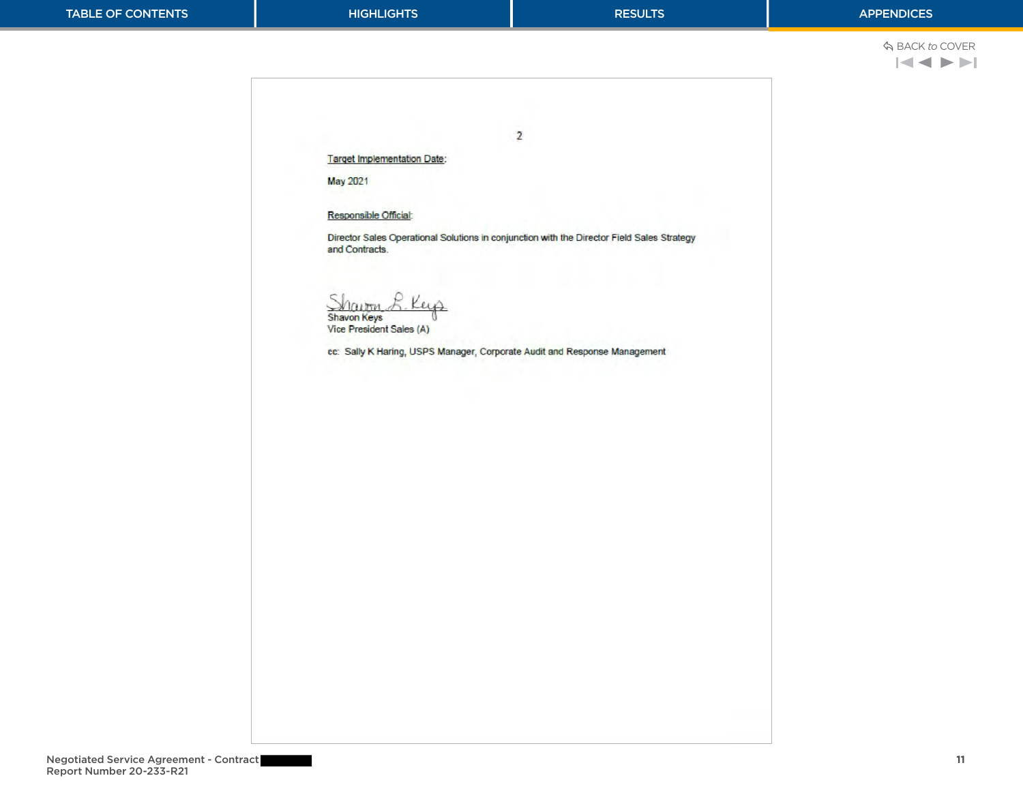**Target Implementation Date:** 

May 2021

Responsible Official:

Director Sales Operational Solutions in conjunction with the Director Field Sales Strategy and Contracts.

 $\overline{2}$ 

Shautra Key

Vice President Sales (A)

cc: Sally K Haring, USPS Manager, Corporate Audit and Response Management